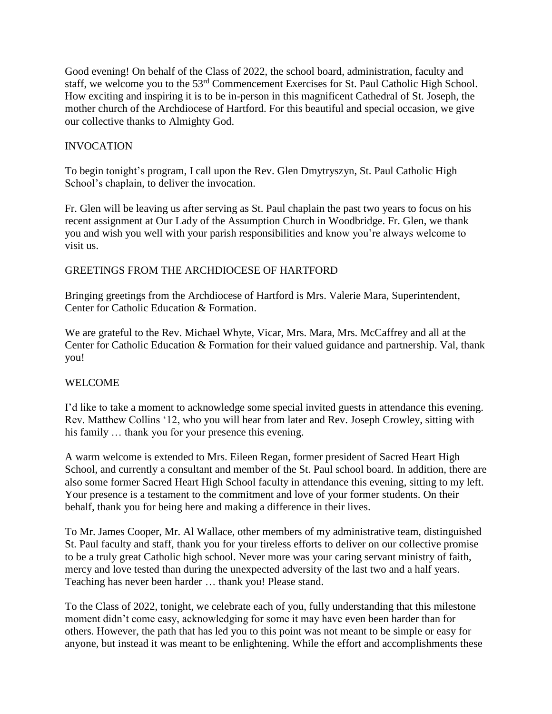Good evening! On behalf of the Class of 2022, the school board, administration, faculty and staff, we welcome you to the 53<sup>rd</sup> Commencement Exercises for St. Paul Catholic High School. How exciting and inspiring it is to be in-person in this magnificent Cathedral of St. Joseph, the mother church of the Archdiocese of Hartford. For this beautiful and special occasion, we give our collective thanks to Almighty God.

## INVOCATION

To begin tonight's program, I call upon the Rev. Glen Dmytryszyn, St. Paul Catholic High School's chaplain, to deliver the invocation.

Fr. Glen will be leaving us after serving as St. Paul chaplain the past two years to focus on his recent assignment at Our Lady of the Assumption Church in Woodbridge. Fr. Glen, we thank you and wish you well with your parish responsibilities and know you're always welcome to visit us.

### GREETINGS FROM THE ARCHDIOCESE OF HARTFORD

Bringing greetings from the Archdiocese of Hartford is Mrs. Valerie Mara, Superintendent, Center for Catholic Education & Formation.

We are grateful to the Rev. Michael Whyte, Vicar, Mrs. Mara, Mrs. McCaffrey and all at the Center for Catholic Education & Formation for their valued guidance and partnership. Val, thank you!

# WELCOME

I'd like to take a moment to acknowledge some special invited guests in attendance this evening. Rev. Matthew Collins '12, who you will hear from later and Rev. Joseph Crowley, sitting with his family ... thank you for your presence this evening.

A warm welcome is extended to Mrs. Eileen Regan, former president of Sacred Heart High School, and currently a consultant and member of the St. Paul school board. In addition, there are also some former Sacred Heart High School faculty in attendance this evening, sitting to my left. Your presence is a testament to the commitment and love of your former students. On their behalf, thank you for being here and making a difference in their lives.

To Mr. James Cooper, Mr. Al Wallace, other members of my administrative team, distinguished St. Paul faculty and staff, thank you for your tireless efforts to deliver on our collective promise to be a truly great Catholic high school. Never more was your caring servant ministry of faith, mercy and love tested than during the unexpected adversity of the last two and a half years. Teaching has never been harder … thank you! Please stand.

To the Class of 2022, tonight, we celebrate each of you, fully understanding that this milestone moment didn't come easy, acknowledging for some it may have even been harder than for others. However, the path that has led you to this point was not meant to be simple or easy for anyone, but instead it was meant to be enlightening. While the effort and accomplishments these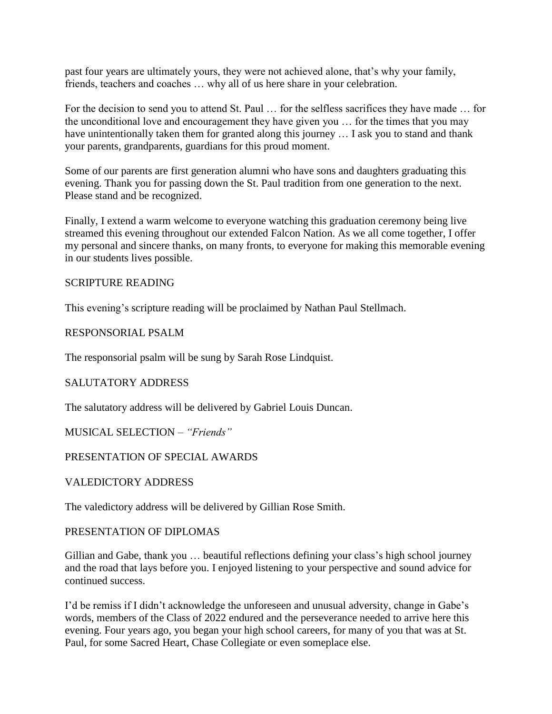past four years are ultimately yours, they were not achieved alone, that's why your family, friends, teachers and coaches … why all of us here share in your celebration.

For the decision to send you to attend St. Paul … for the selfless sacrifices they have made … for the unconditional love and encouragement they have given you … for the times that you may have unintentionally taken them for granted along this journey ... I ask you to stand and thank your parents, grandparents, guardians for this proud moment.

Some of our parents are first generation alumni who have sons and daughters graduating this evening. Thank you for passing down the St. Paul tradition from one generation to the next. Please stand and be recognized.

Finally, I extend a warm welcome to everyone watching this graduation ceremony being live streamed this evening throughout our extended Falcon Nation. As we all come together, I offer my personal and sincere thanks, on many fronts, to everyone for making this memorable evening in our students lives possible.

#### SCRIPTURE READING

This evening's scripture reading will be proclaimed by Nathan Paul Stellmach.

#### RESPONSORIAL PSALM

The responsorial psalm will be sung by Sarah Rose Lindquist.

# SALUTATORY ADDRESS

The salutatory address will be delivered by Gabriel Louis Duncan.

MUSICAL SELECTION – *"Friends"*

#### PRESENTATION OF SPECIAL AWARDS

VALEDICTORY ADDRESS

The valedictory address will be delivered by Gillian Rose Smith.

#### PRESENTATION OF DIPLOMAS

Gillian and Gabe, thank you … beautiful reflections defining your class's high school journey and the road that lays before you. I enjoyed listening to your perspective and sound advice for continued success.

I'd be remiss if I didn't acknowledge the unforeseen and unusual adversity, change in Gabe's words, members of the Class of 2022 endured and the perseverance needed to arrive here this evening. Four years ago, you began your high school careers, for many of you that was at St. Paul, for some Sacred Heart, Chase Collegiate or even someplace else.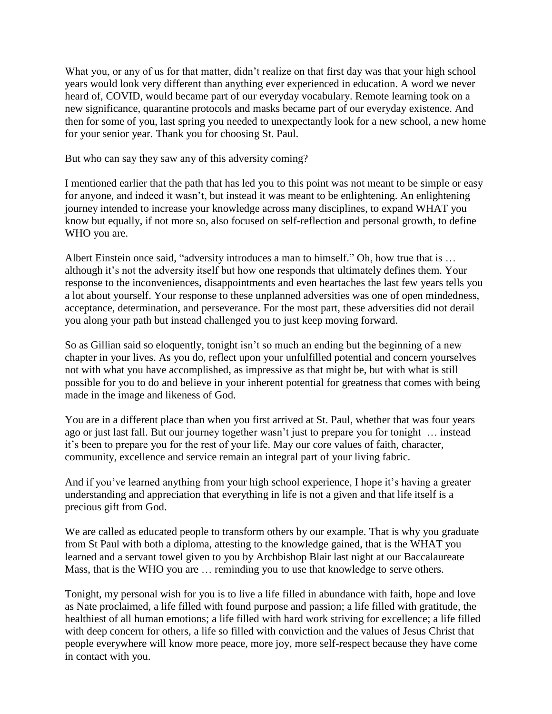What you, or any of us for that matter, didn't realize on that first day was that your high school years would look very different than anything ever experienced in education. A word we never heard of, COVID, would became part of our everyday vocabulary. Remote learning took on a new significance, quarantine protocols and masks became part of our everyday existence. And then for some of you, last spring you needed to unexpectantly look for a new school, a new home for your senior year. Thank you for choosing St. Paul.

But who can say they saw any of this adversity coming?

I mentioned earlier that the path that has led you to this point was not meant to be simple or easy for anyone, and indeed it wasn't, but instead it was meant to be enlightening. An enlightening journey intended to increase your knowledge across many disciplines, to expand WHAT you know but equally, if not more so, also focused on self-reflection and personal growth, to define WHO you are.

Albert Einstein once said, "adversity introduces a man to himself." Oh, how true that is … although it's not the adversity itself but how one responds that ultimately defines them. Your response to the inconveniences, disappointments and even heartaches the last few years tells you a lot about yourself. Your response to these unplanned adversities was one of open mindedness, acceptance, determination, and perseverance. For the most part, these adversities did not derail you along your path but instead challenged you to just keep moving forward.

So as Gillian said so eloquently, tonight isn't so much an ending but the beginning of a new chapter in your lives. As you do, reflect upon your unfulfilled potential and concern yourselves not with what you have accomplished, as impressive as that might be, but with what is still possible for you to do and believe in your inherent potential for greatness that comes with being made in the image and likeness of God.

You are in a different place than when you first arrived at St. Paul, whether that was four years ago or just last fall. But our journey together wasn't just to prepare you for tonight … instead it's been to prepare you for the rest of your life. May our core values of faith, character, community, excellence and service remain an integral part of your living fabric.

And if you've learned anything from your high school experience, I hope it's having a greater understanding and appreciation that everything in life is not a given and that life itself is a precious gift from God.

We are called as educated people to transform others by our example. That is why you graduate from St Paul with both a diploma, attesting to the knowledge gained, that is the WHAT you learned and a servant towel given to you by Archbishop Blair last night at our Baccalaureate Mass, that is the WHO you are … reminding you to use that knowledge to serve others.

Tonight, my personal wish for you is to live a life filled in abundance with faith, hope and love as Nate proclaimed, a life filled with found purpose and passion; a life filled with gratitude, the healthiest of all human emotions; a life filled with hard work striving for excellence; a life filled with deep concern for others, a life so filled with conviction and the values of Jesus Christ that people everywhere will know more peace, more joy, more self-respect because they have come in contact with you.